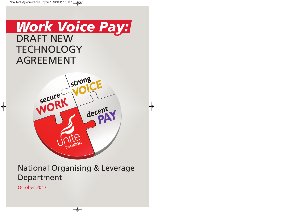# DRAFT NEW **TECHNOLOGY** AGREEMENT *Work Voice Pay:*



 $\bigcirc$ 

National Organising & Leverage Department

 $\bullet$ 

October 2017

 $\bigcirc$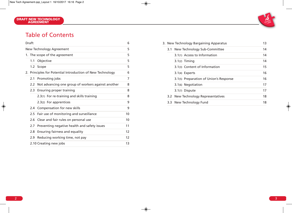## Table of Contents

| Draft                         |                                              |                                                                                                                                                                                            |
|-------------------------------|----------------------------------------------|--------------------------------------------------------------------------------------------------------------------------------------------------------------------------------------------|
| New Technology Agreement      |                                              |                                                                                                                                                                                            |
| 1. The scope of the agreement |                                              |                                                                                                                                                                                            |
| 1.1                           | Objective                                    | 5                                                                                                                                                                                          |
|                               |                                              | 5                                                                                                                                                                                          |
|                               |                                              | 6                                                                                                                                                                                          |
| 2.1                           | Promoting jobs                               | 7                                                                                                                                                                                          |
| 2.2 <sub>2</sub>              |                                              | 8                                                                                                                                                                                          |
| 2.3                           |                                              | 8                                                                                                                                                                                          |
|                               | 2.3(1) For re-training and skills training   | 8                                                                                                                                                                                          |
|                               | 2.3(2) For apprentices                       | 9                                                                                                                                                                                          |
| 2.4                           | Compensation for new skills                  | 9                                                                                                                                                                                          |
| 2.5                           | Fair use of monitoring and surveillance      | 10                                                                                                                                                                                         |
| 2.6                           | Clear and fair rules on personal use         | 10                                                                                                                                                                                         |
| 2.7                           | Preventing negative health and safety issues | 11                                                                                                                                                                                         |
| 2.8                           | Ensuring fairness and equality               | 12                                                                                                                                                                                         |
| 2.9                           | Reducing working time, not pay               | 12                                                                                                                                                                                         |
|                               |                                              | 13                                                                                                                                                                                         |
|                               |                                              | 1.2 Scope<br>2. Principles for Potential Introduction of New Technology<br>Not advancing one group of workers against another<br><b>Ensuring proper training</b><br>2.10 Creating new jobs |

|  |  | 3. New Technology Bargaining Apparatus | 13 |
|--|--|----------------------------------------|----|
|  |  | 3.1 New Technology Sub-Committee       | 14 |
|  |  | 3.1(1) Access to Information           | 14 |
|  |  | $3.1(2)$ Timing                        | 14 |
|  |  | 3.1(3) Content of Information          | 15 |
|  |  | 3.1(4) Experts                         | 16 |
|  |  | 3.1(5) Preparation of Union's Response | 16 |
|  |  | 3.1 <sub>(6)</sub> Negotiation         | 17 |
|  |  | 3.1(7) Dispute                         | 17 |
|  |  | 3.2 New Technology Representatives     | 18 |
|  |  | 3.3 New Technology Fund                | 18 |
|  |  |                                        |    |

 $\bigcirc$ 

 $\bigcirc$ 

 $\begin{picture}(120,10) \put(0,0){\line(1,0){10}} \put(15,0){\line(1,0){10}} \put(15,0){\line(1,0){10}} \put(15,0){\line(1,0){10}} \put(15,0){\line(1,0){10}} \put(15,0){\line(1,0){10}} \put(15,0){\line(1,0){10}} \put(15,0){\line(1,0){10}} \put(15,0){\line(1,0){10}} \put(15,0){\line(1,0){10}} \put(15,0){\line(1,0){10}} \put(15,0){\line($ 

 $\bigcirc$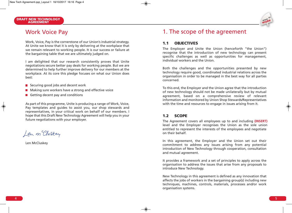

Work, Voice, Pay is the cornerstone of our Union's industrial strategy. At Unite we know that it is only by delivering at the workplace that we remain relevant to working people. It is our success or failure at the bargaining table that we are ultimately judged on.

I am delighted that our research consistently proves that Unite negotiations secure better pay deals for working people. But we are determined to help further improve delivery for our members at the workplace. At its core this pledge focuses on what our Union does best:

- $\blacksquare$  Securing good jobs and decent work
- **Making sure workers have a strong and effective voice**
- Getting decent pay and conditions

As part of this programme, Unite is producing a range of Work, Voice, Pay templates and guides to assist you, our shop stewards and representatives, in your critical work on behalf of our members. I hope that this Draft New Technology Agreement will help you in your future negotiations with your employer.

Len m Cluskey

Len McCluskey

### 1. The scope of the agreement

#### **1.1 OBJECTIVES**

The Employer and Unite the Union (henceforth "the Union") recognise that the introduction of new technology can present specific challenges as well as opportunities for management, individual workers and the Union.

Both the challenges and the opportunities presented by new technology require good, coordinated industrial relations across the organisation in order to be managed in the best way for all parties concerned.

To this end, the Employer and the Union agree that the introduction of new technology should not be made unilaterally but by mutual agreement, based on a comprehensive review of relevant information and monitored by Union Shop Stewards/Representatives with the time and resources to engage in issues arising from it.

#### **1.2 SCOPE**

The Agreement covers all employees up to and including **(INSERT)** level and the Employer recognises the Union as the sole union entitled to represent the interests of the employees and negotiate on their behalf.

In this agreement, the Employer and the Union set out their commitment to address any issues arising from any potential introduction of New Technology through cooperation, consultation and mutual agreement.

It provides a framework and a set of principles to apply across the organisation to address the issues that arise from any proposals to introduce New Technology.

New Technology in this agreement is defined as any innovation that affects the jobs of workers in the bargaining group(s) including new techniques, machines, controls, materials, processes and/or work organisation systems.

◈

 **secure WORK**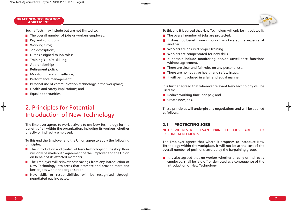Such affects may include but are not limited to:

- $\blacksquare$  The overall number of jobs or workers employed;
- **Pay and conditions;**
- Working time;
- **Job descriptions;**
- Duties assigned to job roles;
- $\blacksquare$  Training/skills/re-skilling;
- **Apprenticeships;**
- Retirement policy;
- **Monitoring and surveillance;**
- **Performance management;**
- **Personal use of communication technology in the workplace;**
- $\blacksquare$  Health and safety implications; and
- **Equal opportunities.**

## 2. Principles for Potential Introduction of New Technology

The Employer agrees to work actively to use New Technology for the benefit of all within the organisation, including its workers whether directly or indirectly employed.

To this end the Employer and the Union agree to apply the following principles;

- $\blacksquare$  The introduction and control of New Technology on the shop floor will only be made with agreement of the Employer and the Union on behalf of its affected members.
- $\blacksquare$  The Employer will reinvest cost savings from any introduction of New Technology into areas that promote and provide more and better jobs within the organisation.
- New skills or responsibilities will be recognised through negotiated pay increases.

To this end it is agreed that New Technology will only be introduced if:

- $\blacksquare$  The overall number of jobs are protected.
- It does not benefit one group of workers at the expense of another.
- **Norkers are ensured proper training.**
- **Norkers are compensated for new skills.**
- It doesn't include monitoring and/or surveillance functions without agreement.
- $\blacksquare$  There are clear and fair rules on any personal use.
- $\blacksquare$  There are no negative health and safety issues.
- $\blacksquare$  It will be introduced in a fair and equal manner.

It is further agreed that wherever relevant New Technology will be used to:

- Reduce working time, not pay; and
- $\blacksquare$  Create new jobs.

These principles will underpin any negotiations and will be applied as follows:

#### **2.1 PROTECTING JOBS**

#### NOTE: WHEREVER RELEVANT PRINCIPLES MUST ADHERE TO EXISTING AGREEMENTS

The Employer agrees that where it proposes to introduce New Technology within the workplace, it will not be at the cost of the overall number of positions covered by the bargaining group.

 $\blacksquare$  It is also agreed that no worker whether directly or indirectly employed, shall be laid off or demoted as a consequence of the introduction of New Technology.

**strong VOICE**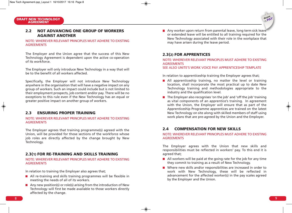#### **2.2 NOT ADVANCING ONE GROUP OF WORKERS AGAINST ANOTHER**

#### NOTE: WHEREVER RELEVANT PRINCIPLES MUST ADHERE TO EXISTING **AGREEMENTS**

The Employer and the Union agree that the success of this New Technology Agreement is dependent upon the active co-operation of its workforce.

The Employer will only introduce New Technology in a way that will be to the benefit of all workers affected.

Specifically, the Employer will not introduce New Technology anywhere in the organisation that will have a negative impact on any group of workers. Such an impact could include but is not limited to their employment prospects, job content and/or pay. There will be no exceptions to this rule even if the New Technology has an equal or greater positive impact on another group of workers.

#### **2.3 ENSURING PROPER TRAINING**

#### NOTE: WHEREVER RELEVANT PRINCIPLES MUST ADHERE TO EXISTING **AGREEMENTS**

The Employer agrees that training programme(s) agreed with the Union, will be provided for those sections of the workforce whose job roles are directly affected by the change brought by New Technology.

#### **2.3(1) FOR RE-TRAINING AND SKILLS TRAINING**

#### NOTE: WHEREVER RELEVANT PRINCIPLES MUST ADHERE TO EXISTING **AGREEMENTS**

In relation to training the Employer also agrees that;

- **All re-training and skills training programmes will be flexible in** meeting the needs of all of its workers.
- Any new position(s) or role(s) arising from the introduction of New Technology will first be made available to those workers directly affected by the change.

Any worker upon return from parental leave, long term sick leave or extended leave will be entitled to all training required for the New Technology associated with their role in the workplace that may have arisen during the leave period.

#### **2.3(2) FOR APPRENTICES**

#### NOTE: WHEREVER RELEVANT PRINCIPLES MUST ADHERE TO EXISTING AGREEMENTS

SEE ALSO UNITE'S WORK VOICE PAY APPRENTICESHIP TEMPLATE

In relation to apprenticeship training the Employer agrees that;

- All apprenticeship training, no matter the level or training location, shall incorporate the most practical up to date New Technology training and methodologies appropriate to the industry and the qualification level.
- $\blacksquare$  The Employer also recognises 'on the job' and 'off the job' training as vital components of an apprentice's training. In agreement with the Union, the Employer will ensure that as part of the Apprenticeship Programme apprentices are trained on the latest New Technology on site along with skilled members of staff using work plans that are pre-agreed by the Union and the Employer.

#### **2.4 COMPENSATION FOR NEW SKILLS**

#### NOTE: WHEREVER RELEVANT PRINCIPLES MUST ADHERE TO EXISTING AGREEMENTS

The Employer agrees with the Union that new skills and responsibilities must be reflected in workers' pay. To this end it is agreed that;

- $\blacksquare$  All workers will be paid at the going rate for the job for any time they commit to training as a result of New Technology.
- Where new skills and/or responsibilities are increased in order to work with New Technology, these will be reflected in advancement for the affected worker(s) in the pay scales agreed by the Employer and the Union.

**decent PAY**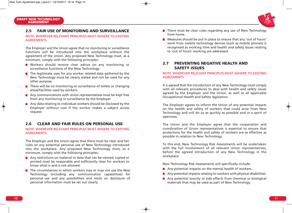#### **2.5 FAIR USE OF MONITORING AND SURVEILLANCE**

#### NOTE: WHEREVER RELEVANT PRINCIPLES MUST ADHERE TO EXISTING AGREEMENTS

The Employer and the Union agree that no monitoring or surveillance functions will be introduced into the workplace without the agreement of the Union. Any proposed New Technology must, as a minimum, comply with the following principles:

- Workers should receive clear advice on any monitoring or surveillance functions of the New Technology.
- $\blacksquare$  The legitimate uses for any worker related data gathered by the New Technology must be clearly stated and not be used for any other purpose.
- $\blacksquare$  There will be no monitoring or surveillance of toilets or changing areas/facilities used by workers.
- $\blacksquare$  Any communications with Union representatives must be kept free from any monitoring or surveillance by the Employer.
- $\blacksquare$  Any data relating to individual workers should be disclosed by the Employer without cost if the worker makes a subject access request.

#### **2.6 CLEAR AND FAIR RULES ON PERSONAL USE**

#### NOTE: WHEREVER RELEVANT PRINCIPLES MUST ADHERE TO EXISTING AGREEMENTS

The Employer and the Union agree that there must be clear and fair rules on any potential personal use of New Technology introduced into the workplace. Any proposed New Technology must, as a minimum, comply with the following principles:

- Any restrictions on material or data that can be viewed, copied or printed must be reasonable and sufficiently clear for workers to know what is and is not allowed.
- $\blacksquare$  The circumstances in which workers may or may not use the New Technology (including any communication capabilities) for personal use and any possibilities and limits on disclosure of personal information must be set out clearly.
- $\blacksquare$  There must be clear rules regarding any use of New Technology from home.
- **Measures should be put in place to ensure that any 'out of hours'** work from mobile technology devices (such as mobile phones) is recognised as working time and health and safety issues relating to 'out of hours' working are addressed.

#### **2.7 PREVENTING NEGATIVE HEALTH AND SAFETY ISSUES**

#### NOTE: WHEREVER RELEVANT PRINCIPLES MUST ADHERE TO EXISTING AGREEMENTS

It is agreed that the introduction of any New Technology must comply with all relevant procedures to deal with health and safety issues agreed by the Employer and the Union, as well as all applicable Occupational Health and Safety legislation.

The Employer agrees to inform the Union of any potential impacts on the health and safety of workers that could arise from New Technology and will do so as quickly as possible and in a spirit of openness.

The Union and the Employer agree that the cooperation and coordination of Union representatives is essential to ensure that protections for the health and safety of workers are as effective as possible in relation to New Technology.

To this end, New Technology Risk Assessments will be undertaken with the full involvement of all relevant Union representatives, before the agreed introduction of any New Technology in the workplace.

New Technology Risk Assessments will specifically include:

- Any potential impacts on the mental health of workers.
- Any potential impacts relating to workers with physical disabilities.
- Any potential toxicity or side effects from chemical or biological materials that may be used as part of New Technology.

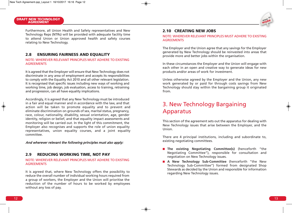

Furthermore, all Union Health and Safety representatives and New Technology Reps (NTRs) will be provided with adequate facility time to attend Union or Union approved health and safety courses relating to New Technology.

#### **2.8 ENSURING FAIRNESS AND EQUALITY**

#### NOTE: WHEREVER RELEVANT PRINCIPLES MUST ADHERE TO EXISTING AGREEMENTS

It is agreed that the Employer will ensure that New Technology does not discriminate in any area of employment and accepts its responsibilities to comply with the Equality Act 2010 and all other relevant legislation. It is recognised that specific issues including new ways of working and working time, job design, job evaluation, access to training, retraining and progression, can all have equality implications.

Accordingly, it is agreed that any New Technology must be introduced in a fair and equal manner and in accordance with the law, and that action will be taken to promote equality and to prevent and eliminate discrimination on grounds of sex, marital status, pregnancy, race, colour, nationality, disability, sexual orientation, age, gender identity, religion or belief, and that equality impact assessments and monitoring will be carried out. In the light of this commitment, the Employer also recognises and supports the role of union equality representatives, union equality courses, and a joint equality committee.

#### And wherever relevant the following principles must also apply:

#### **2.9 REDUCING WORKING TIME, NOT PAY**

#### NOTE: WHEREVER RELEVANT PRINCIPLES MUST ADHERE TO EXISTING AGREEMENTS

It is agreed that, where New Technology offers the possibility to reduce the overall number of individual working hours required from a group of workers, the Employer and the Union will prioritise the reduction of the number of hours to be worked by employees without any loss of pay.

#### **2.10 CREATING NEW JOBS**

#### NOTE: WHEREVER RELEVANT PRINCIPLES MUST ADHERE TO EXISTING AGREEMENTS

The Employer and the Union agree that any savings for the Employer generated by New Technology should be reinvested into areas that provide more and better jobs within the organisation.

In these circumstances the Employer and the Union will engage with each other in an open and creative way to generate ideas for new products and/or areas of work for investment.

Unless otherwise agreed by the Employer and the Union, any new work generated by or paid for through costs savings from New Technology should stay within the bargaining group it originated from.

### 3. New Technology Bargaining Apparatus

This section of the agreement sets out the apparatus for dealing with New Technology issues that arise between the Employer, and the Union.

There are 4 principal institutions, including and subordinate to, existing negotiating committees.

- **The existing Negotiating Committee(s)** (henceforth "the Negotiating Committee"), responsible for consultation and negotiation on New Technology issues.
- **A New Technology Sub-Committee** (henceforth "the New Technology Sub-Committee") formed from designated Shop Stewards as decided by the Union and responsible for information regarding New Technology issues.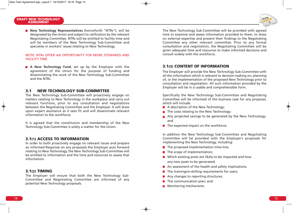

#### NOTE: NTRs OFFER AN OPPORTUNITY FOR MORE STEWARDS AND FACILITY TIME

**A New Technology Fund**, set up by the Employer with the agreement of the Union for the purpose of funding and disseminating the work of the New Technology Sub-Committee and the NTRs.

#### **3.1 NEW TECHNOLOGY SUB-COMMITTEE**

The New Technology Sub-Committee will proactively engage on matters relating to New Technology in the workplace and carry out relevant functions, prior to any consultation and negotiations between the Negotiating Committee and the Employer. It will draw upon expert assistance as it sees fit and will disseminate relevant information to the workforce.

It is agreed that the constitution and membership of the New Technology Sub-Committee is solely a matter for the Union.

#### **3.1(1) ACCESS TO INFORMATION**

In order to both proactively engage on relevant issues and prepare an informed Response on any proposals the Employer puts forward relating to New Technology, the New Technology Sub-Committee will be entitled to information and the time and resources to assess that information.

#### **3.1(2) TIMING**

The Employer will ensure that both the New Technology Sub-Committee and Negotiating Committee are informed of any potential New Technology proposals.

The New Technology Sub-Committee will be provided with agreed time to examine and assess information provided to them, to draw on external expertise and present their findings to the Negotiating Committee any other relevant committee. Prior to any formal consultation and negotiation, the Negotiating Committee will be given adequate time and resources to make informed decisions and consult widely with the workforce.

#### **3.1(3) CONTENT OF INFORMATION**

The Employer will provide the New Technology Sub-Committee with all the information which is relevant to decision making on, planning of, or the implementation of the proposed New Technology prior to consultation and negotiation. All such information provided by the Employer will be in a usable and comprehensible form.

Specifically the New Technology Sub-Committee and Negotiating Committee will be informed of the business case for any proposal, which will include:

- A description of the New Technology;
- $\blacksquare$  The costs relating to the New Technology;
- Any projected savings to be generated by the New Technology; and
- $\blacksquare$  The expected impact on the workforce.

In addition the New Technology Sub-Committee and Negotiating Committee will be provided with the Employer's proposals for implementing the New Technology, including:

- $\blacksquare$  The proposed implementation time-line;
- $\blacksquare$  The scope of implementation;
- **Now** Which existing posts are likely to be impacted and how any new posts to be generated;
- $\blacksquare$  An assessment of the health and safety implications;
- $\blacksquare$  The training/re-skilling requirements for users;
- Any changes to reporting structures;
- $\blacksquare$  The communication plan; and
- **Monitoring mechanisms.**

**strong VOICE**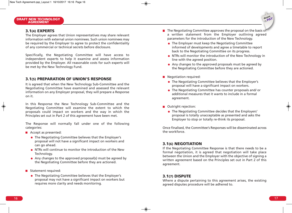#### **3.1(4) EXPERTS**

The Employer agrees that Union representatives may share relevant information with external union nominees. Such union nominees may be required by the Employer to agree to protect the confidentiality of any commercial or technical secrets before disclosure.

Specifically, the Negotiating Committee will have access to independent experts to help it examine and assess information provided by the Employer. All reasonable costs for such experts will be met by the New Technology Fund.

#### **3.1(5) PREPARATION OF UNION'S RESPONSE**

It is agreed that when the New Technology Sub-Committee and the Negotiating Committee have examined and assessed the relevant information on any Employer proposal, they will prepare a Response on it.

In this Response the New Technology Sub-Committee and the Negotiating Committee will examine the extent to which the proposals could impact on workers and the way in which the Principles set out in Part 2 of this agreement have been met.

The Response will normally fall under one of the following categories:

- **Accept as presented:** 
	- The Negotiating Committee believes that the Employer's proposal will not have a significant impact on workers and can go ahead.
	- NTRs will continue to monitor the introduction of the New Technology.
	- Any changes to the approved proposal(s) must be agreed by the Negotiating Committee before they are actioned.
- Statement required:
	- The Negotiating Committee believes that the Employer's proposal may not have a significant impact on workers but requires more clarity and needs monitoring.
- $\blacksquare$  The Negotiating Committee approves the proposal on the basis of a written statement from the Employer outlining agreed parameters for the introduction of the New Technology.
	- The Employer must keep the Negotiating Committee informed of developments and agree a timetable to report back to the Negotiating Committee on its progress.
	- NTRs will monitor the introduction of the New Technology in line with the agreed position.
	- Any changes to the approved proposals must be agreed by the Negotiating Committee before they are actioned.
- Negotiation required:
	- The Negotiating Committee believes that the Employer's proposal will have a significant impact on workers.
	- The Negotiating Committee has counter proposals and/ or additional measures that it wants to include in a formal agreement.
- **Outright rejection:** 
	- The Negotiating Committee decides that the Employers' proposal is totally unacceptable as presented and asks the Employer to stop or totally re-think its proposal.

Once finalised, the Committee's Responses will be disseminated across the workforce.

#### **3.1(6) NEGOTIATION**

If the Negotiating Committee Response is that there needs to be a formal negotiation, it is agreed that negotiation will take place between the Union and the Employer with the objective of signing a written agreement based on the Principles set out in Part 2 of this agreement.

#### **3.1(7) DISPUTE**

Where a dispute pertaining to this agreement arises, the existing agreed disputes procedure will be adhered to.

**decent PAY**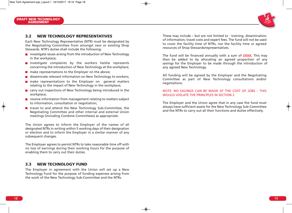#### **3.2 NEW TECHNOLOGY REPRESENTATIVES**

Each New Technology Representative (NTR) must be designated by the Negotiating Committee from amongst new or existing Shop Stewards. NTR's duties shall include the following:

- $\blacksquare$  investigate issues arising from the introduction of New Technology in the workplace;
- $\blacksquare$  investigate complaints by the workers he/she represents concerning the introduction of New Technology at the workplace;
- $\blacksquare$  make representations to the Employer on the above;
- $\blacksquare$  disseminate relevant information on New Technology to workers;
- **n** make representations to the Employer on general matters relating to the impact of New Technology in the workplace;
- **E** carry out inspections of New Technology being introduced in the workplace;
- $\blacksquare$  receive information from management relating to matters subject to information, consultation or negotiation;
- travel to and attend the New Technology Sub-Committee, the Negotiating Committee and other internal and external Union meetings (including Combine Committees) as appropriate.

The Union agrees to inform the Employer of the names of all designated NTRs in writing within 5 working days of their designation or election and to inform the Employer in a similar manner of any subsequent changes.

The Employer agrees to permit NTRs to take reasonable time off with no loss of earnings during their working hours for the purpose of enabling them to carry out their duties.

### **3.3 NEW TECHNOLOGY FUND**

The Employer in agreement with the Union will set up a New Technology Fund for the purpose of funding expenses arising from the work of the New Technology Sub-Committee and the NTRs.

These may include – but are not limited to - training, dissemination of information, travel costs and expert fees. The fund will not be used to cover the facility time of NTRs, nor the facility time or agreed resources of Shop Stewards/representatives.

The fund will be financed annually with a sum of  $EXXX$ . This may then be added to by allocating an agreed proportion of any savings for the Employer to be made through the introduction of any agreed New Technology.

All funding will be agreed by the Employer and the Negotiating Committee as part of New Technology consultations and/or negotiations.

#### NOTE: NO SAVINGS CAN BE MADE AT THE COST OF JOBS – THIS WOULD VIOLATE THE PRINCIPLES IN SECTION 2

The Employer and the Union agree that in any case the fund must always have sufficient assets for the New Technology Sub-Committee and the NTRs to carry out all their functions and duties effectively.